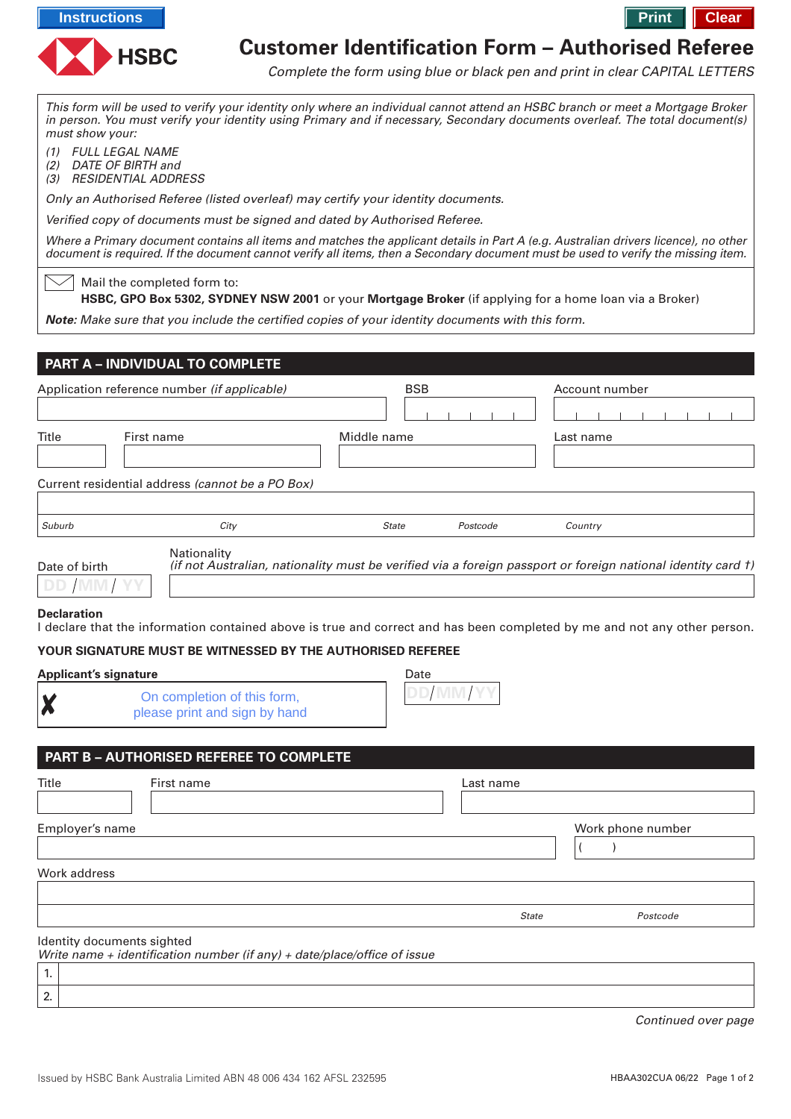





# **Customer Identification Form – Authorised Referee**

Complete the form using blue or black pen and print in clear CAPITAL LETTERS

This form will be used to verify your identity only where an individual cannot attend an HSBC branch or meet a Mortgage Broker in person. You must verify your identity using Primary and if necessary, Secondary documents overleaf. The total document(s) must show your:

(1) FULL LEGAL NAME

(2) DATE OF BIRTH and

(3) RESIDENTIAL ADDRESS

Only an Authorised Referee (listed overleaf) may certify your identity documents.

Verified copy of documents must be signed and dated by Authorised Referee.

Where a Primary document contains all items and matches the applicant details in Part A (e.g. Australian drivers licence), no other document is required. If the document cannot verify all items, then a Secondary document must be used to verify the missing item.

Mail the completed form to:

**HSBC, GPO Box 5302, SYDNEY NSW 2001** or your **Mortgage Broker** (if applying for a home loan via a Broker)

**Note:** Make sure that you include the certified copies of your identity documents with this form.

| Application reference number (if applicable) |                                                                | <b>BSB</b>   |          | Account number |
|----------------------------------------------|----------------------------------------------------------------|--------------|----------|----------------|
| <b>Title</b>                                 | First name<br>Current residential address (cannot be a PO Box) | Middle name  |          | Last name      |
| Suburb                                       | City                                                           | <b>State</b> | Postcode | Country        |
|                                              | Nationality                                                    |              |          |                |

| Date of birth |  |  |
|---------------|--|--|
|               |  |  |

 $\smallsetminus\diagup$ 

(if not Australian, nationality must be verified via a foreign passport or foreign national identity card †)

## **Declaration**

Χ

2.

I declare that the information contained above is true and correct and has been completed by me and not any other person.

## **YOUR SIGNATURE MUST BE WITNESSED BY THE AUTHORISED REFEREE**

## **Applicant's signature**

On completion of this form, please print and sign by hand



# **PART B – AUTHORISED REFEREE TO COMPLETE**

| Title                            | First name                                                               | Last name    |                   |
|----------------------------------|--------------------------------------------------------------------------|--------------|-------------------|
| Employer's name                  |                                                                          |              | Work phone number |
|                                  |                                                                          |              |                   |
| Work address                     |                                                                          |              |                   |
|                                  |                                                                          |              |                   |
|                                  |                                                                          | <b>State</b> | Postcode          |
| Identity documents sighted<br>1. | Write name + identification number (if any) + date/place/office of issue |              |                   |

Continued over page